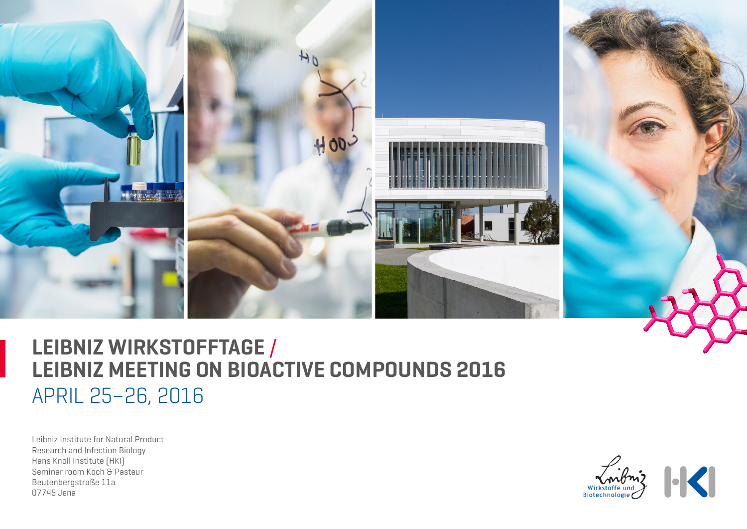

# APRIL 25–26, 2016 **LEIBNIZ WIRKSTOFFTAGE** / **LEIBNIZ MEETING ON BIOACTIVE COMPOUNDS 2016**

Leibniz Institute for Natural Product Research and Infection Biology Hans Knöll Institute (HKI) Seminar room Koch & Pasteur Beutenbergstraße 11a 07745 Jena

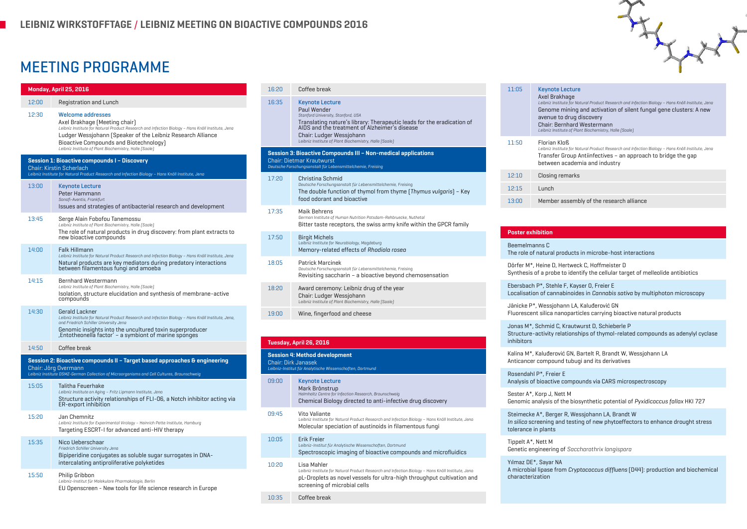## MEETING PROGRAMME

| Monday, April 25, 2016                                                    |                                                                                                                                                                                                                                                                         | 16:20                                                                                    | Coffee break                                                                                                                                                                                                                                                                                 |       |
|---------------------------------------------------------------------------|-------------------------------------------------------------------------------------------------------------------------------------------------------------------------------------------------------------------------------------------------------------------------|------------------------------------------------------------------------------------------|----------------------------------------------------------------------------------------------------------------------------------------------------------------------------------------------------------------------------------------------------------------------------------------------|-------|
| 12:00                                                                     | Registration and Lunch                                                                                                                                                                                                                                                  | 16:35                                                                                    | <b>Keynote Lecture</b><br>Paul Wender<br>Stanford University, Stanford, USA<br>Translating nature's library: Therapeutic leads for the eradication of<br>AIDS and the treatment of Alzheimer's disease<br>Chair: Ludger Wessjohann<br>Leibniz Institute of Plant Biochemistry, Halle (Saale) |       |
| 12:30                                                                     | <b>Welcome addresses</b><br>Axel Brakhage [Meeting chair]<br>Leibniz Institute for Natural Product Research and Infection Biology - Hans Knöll Institute, Jena<br>Ludger Wessjohann (Speaker of the Leibniz Research Alliance<br>Bioactive Compounds and Biotechnology] |                                                                                          |                                                                                                                                                                                                                                                                                              |       |
| Leibniz Institute of Plant Biochemistry, Halle (Saale)                    |                                                                                                                                                                                                                                                                         | Session 3: Bioactive Compounds III - Non-medical applications                            |                                                                                                                                                                                                                                                                                              |       |
| Session 1: Bioactive compounds I - Discovery<br>Chair: Kirstin Scherlach  |                                                                                                                                                                                                                                                                         | Chair: Dietmar Krautwurst<br>Deutsche Forschungsanstalt für Lebensmittelchemie, Freising |                                                                                                                                                                                                                                                                                              |       |
|                                                                           | Leibniz Institute for Natural Product Research and Infection Biology - Hans Knöll Institute, Jena                                                                                                                                                                       | 17:20                                                                                    | Christina Schmid                                                                                                                                                                                                                                                                             |       |
| 13:00                                                                     | <b>Keynote Lecture</b><br>Peter Hammann<br>Sanofi-Aventis, Frankfurt                                                                                                                                                                                                    |                                                                                          | Deutsche Forschungsanstalt für Lebensmittelchemie, Freising<br>The double function of thymol from thyme (Thymus vulgaris) - Key<br>food odorant and bioactive                                                                                                                                |       |
| 13:45                                                                     | Issues and strategies of antibacterial research and development<br>Serge Alain Fobofou Tanemossu<br>Leibniz Institute of Plant Biochemistry, Halle (Saale)                                                                                                              | 17:35                                                                                    | Maik Behrens<br>German Institute of Human Nutrition Potsdam-Rehbruecke, Nuthetal<br>Bitter taste receptors, the swiss army knife within the GPCR family                                                                                                                                      |       |
|                                                                           |                                                                                                                                                                                                                                                                         |                                                                                          |                                                                                                                                                                                                                                                                                              | 14:00 |
|                                                                           | Leibniz Institute for Natural Product Research and Infection Biology - Hans Knöll Institute, Jena<br>Natural products are key mediators during predatory interactions<br>between filamentous fungi and amoeba                                                           | 18:05                                                                                    | Patrick Marcinek                                                                                                                                                                                                                                                                             |       |
|                                                                           |                                                                                                                                                                                                                                                                         |                                                                                          | Deutsche Forschungsanstalt für Lebensmittelchemie, Freising<br>Revisiting saccharin - a bioactive beyond chemosensation                                                                                                                                                                      |       |
| 14:15                                                                     | Bernhard Westermann<br>Leibniz Institute of Plant Biochemistry, Halle (Saale)<br>Isolation, structure elucidation and synthesis of membrane-active<br>compounds                                                                                                         | 18:20                                                                                    | Award ceremony: Leibniz drug of the year<br>Chair: Ludger Wessjohann<br>Leibniz Institute of Plant Biochemistry, Halle (Saale)                                                                                                                                                               |       |
| 14:30                                                                     | Gerald Lackner                                                                                                                                                                                                                                                          | 19:00                                                                                    | Wine, fingerfood and cheese                                                                                                                                                                                                                                                                  |       |
|                                                                           | Leibniz Institute for Natural Product Research and Infection Biology - Hans Knöll Institute, Jena,<br>and Friedrich Schiller University Jena<br>Genomic insights into the uncultured toxin superproducer<br>Entotheonella factor' - a symbiont of marine sponges        |                                                                                          |                                                                                                                                                                                                                                                                                              |       |
| 14:50                                                                     | Coffee break                                                                                                                                                                                                                                                            |                                                                                          | Tuesday, April 26, 2016                                                                                                                                                                                                                                                                      |       |
| Session 2: Bioactive compounds II - Target based approaches & engineering |                                                                                                                                                                                                                                                                         |                                                                                          | <b>Session 4: Method development</b><br><b>Chair: Dirk Janasek</b>                                                                                                                                                                                                                           |       |
|                                                                           | Chair: Jörg Overmann<br>Leibniz Institute DSMZ-German Collection of Microorganisms and Cell Cultures, Braunschweig                                                                                                                                                      |                                                                                          | Leibniz-Institut für Analytische Wissenschaften, Dortmund                                                                                                                                                                                                                                    |       |
| 15:05                                                                     | Talitha Feuerhake<br>Leibniz Institute on Aging - Fritz Lipmann Institute, Jena<br>Structure activity relationships of FLI-06, a Notch inhibitor acting via                                                                                                             | 09:00                                                                                    | <b>Keynote Lecture</b><br>Mark Brönstrup<br>Helmholtz Centre for Infection Research, Braunschweig<br>Chemical Biology directed to anti-infective drug discovery                                                                                                                              |       |
|                                                                           | ER-export inhibition                                                                                                                                                                                                                                                    | 09:45                                                                                    | Vito Valiante                                                                                                                                                                                                                                                                                |       |
| 15:20                                                                     | Jan Chemnitz<br>Leibniz Institute for Experimental Virology - Heinrich Pette Institute, Hamburg<br>Targeting ESCRT-I for advanced anti-HIV therapy                                                                                                                      |                                                                                          | Leibniz Institute for Natural Product Research and Infection Biology - Hans Knöll Institute, Jena<br>Molecular speciation of austinoids in filamentous fungi                                                                                                                                 |       |
| 15:35                                                                     | Nico Ueberschaar<br>Friedrich Schiller University Jena<br>Bipiperidine conjugates as soluble sugar surrogates in DNA-                                                                                                                                                   | 10:05                                                                                    | Erik Freier<br>Leibniz-Institut für Analytische Wissenschaften, Dortmund<br>Spectroscopic imaging of bioactive compounds and microfluidics                                                                                                                                                   |       |
|                                                                           | intercalating antiproliferative polyketides                                                                                                                                                                                                                             | 10:20                                                                                    | Lisa Mahler                                                                                                                                                                                                                                                                                  |       |
| 15:50                                                                     | Philip Gribbon<br>Leibniz-Institut für Molekulare Pharmakologie, Berlin<br>EU Openscreen - New tools for life science research in Europe                                                                                                                                |                                                                                          | Leibniz Institute for Natural Product Research and Infection Biology - Hans Knöll Institute, Jena<br>pL-Droplets as novel vessels for ultra-high throughput cultivation and<br>screening of microbial cells                                                                                  |       |
|                                                                           |                                                                                                                                                                                                                                                                         | 10:35                                                                                    | Coffee break                                                                                                                                                                                                                                                                                 |       |

| 11:05 | <b>Keynote Lecture</b><br>Axel Brakhage<br>Leibniz Institute for Natural Product Research and Infection Biology - Hans Knöll Institute, Jena<br>Genome mining and activation of silent fungal gene clusters: A new<br>avenue to drug discovery<br>Chair: Bernhard Westermann<br>Leibniz Institute of Plant Biochemistry, Halle (Saale) |
|-------|----------------------------------------------------------------------------------------------------------------------------------------------------------------------------------------------------------------------------------------------------------------------------------------------------------------------------------------|
| 11:50 | Florian Kinß<br>Leibniz Institute for Natural Product Research and Infection Biology - Hans Knöll Institute, Jena<br>Transfer Group Antiinfectives - an approach to bridge the gap<br>between academia and industry                                                                                                                    |
| 12:10 | Closing remarks                                                                                                                                                                                                                                                                                                                        |
| 12:15 | Lunch                                                                                                                                                                                                                                                                                                                                  |
| 13:00 | Member assembly of the research alliance                                                                                                                                                                                                                                                                                               |

### **Poster exhibition**

Beemelmanns C The role of natural products in microbe-host interactions

Dörfer M\*, Heine D, Hertweck C, Hoffmeister D Synthesis of a probe to identify the cellular target of melleolide antibiotics

Ebersbach P\*, Stehle F, Kayser O, Freier E Localisation of cannabinoides in Cannabis sativa by multiphoton microscopy

Jänicke P\*, Wessjohann LA, Kaluđerović GN Fluorescent silica nanoparticles carrying bioactive natural products

Jonas M\*, Schmid C, Krautwurst D, Schieberle P Structure-activity relationships of thymol-related compounds as adenylyl cyclase inhibitors

Kalina M\*, Kaluđerović GN, Bartelt R, Brandt W, Wessjohann LA Anticancer compound tubugi and its derivatives

Rosendahl P\*, Freier E Analysis of bioactive compounds via CARS microspectroscopy

Sester A\*, Korp J, Nett M Genomic analysis of the biosynthetic potential of Pyxidicoccus fallax HKI 727

Steimecke A\*, Berger R, Wessjohann LA, Brandt W In silico screening and testing of new phytoeffectors to enhance drought stress tolerance in plants

Tippelt A\*, Nett M Genetic engineering of Saccharothrix longispora

Yılmaz DE\*, Sayar NA A microbial lipase from Cryptococcus diffluens (D44): production and biochemical characterization